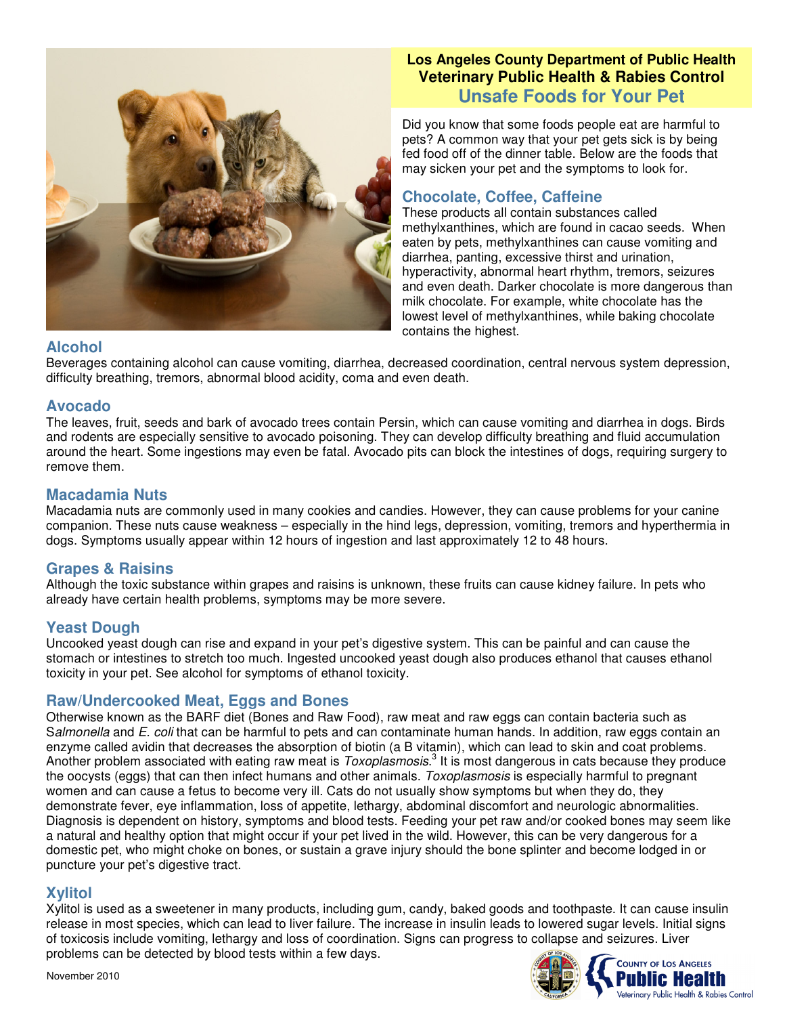

# **Los Angeles County Department of Public Health Veterinary Public Health & Rabies Control Unsafe Foods for Your Pet**

Did you know that some foods people eat are harmful to pets? A common way that your pet gets sick is by being fed food off of the dinner table. Below are the foods that may sicken your pet and the symptoms to look for.

# **Chocolate, Coffee, Caffeine**

These products all contain substances called methylxanthines, which are found in cacao seeds. When eaten by pets, methylxanthines can cause vomiting and diarrhea, panting, excessive thirst and urination, hyperactivity, abnormal heart rhythm, tremors, seizures and even death. Darker chocolate is more dangerous than milk chocolate. For example, white chocolate has the lowest level of methylxanthines, while baking chocolate contains the highest.

## **Alcohol**

Beverages containing alcohol can cause vomiting, diarrhea, decreased coordination, central nervous system depression, difficulty breathing, tremors, abnormal blood acidity, coma and even death.

## **Avocado**

The leaves, fruit, seeds and bark of avocado trees contain Persin, which can cause vomiting and diarrhea in dogs. Birds and rodents are especially sensitive to avocado poisoning. They can develop difficulty breathing and fluid accumulation around the heart. Some ingestions may even be fatal. Avocado pits can block the intestines of dogs, requiring surgery to remove them.

## **Macadamia Nuts**

Macadamia nuts are commonly used in many cookies and candies. However, they can cause problems for your canine companion. These nuts cause weakness – especially in the hind legs, depression, vomiting, tremors and hyperthermia in dogs. Symptoms usually appear within 12 hours of ingestion and last approximately 12 to 48 hours.

# **Grapes & Raisins**

Although the toxic substance within grapes and raisins is unknown, these fruits can cause kidney failure. In pets who already have certain health problems, symptoms may be more severe.

# **Yeast Dough**

Uncooked yeast dough can rise and expand in your pet's digestive system. This can be painful and can cause the stomach or intestines to stretch too much. Ingested uncooked yeast dough also produces ethanol that causes ethanol toxicity in your pet. See alcohol for symptoms of ethanol toxicity.

# **Raw/Undercooked Meat, Eggs and Bones**

Otherwise known as the BARF diet (Bones and Raw Food), raw meat and raw eggs can contain bacteria such as S*almonella* and *E. coli* that can be harmful to pets and can contaminate human hands. In addition, raw eggs contain an enzyme called avidin that decreases the absorption of biotin (a B vitamin), which can lead to skin and coat problems. Another problem associated with eating raw meat is *Toxoplasmosis*. 3 It is most dangerous in cats because they produce the oocysts (eggs) that can then infect humans and other animals. *Toxoplasmosis* is especially harmful to pregnant women and can cause a fetus to become very ill. Cats do not usually show symptoms but when they do, they demonstrate fever, eye inflammation, loss of appetite, lethargy, abdominal discomfort and neurologic abnormalities. Diagnosis is dependent on history, symptoms and blood tests. Feeding your pet raw and/or cooked bones may seem like a natural and healthy option that might occur if your pet lived in the wild. However, this can be very dangerous for a domestic pet, who might choke on bones, or sustain a grave injury should the bone splinter and become lodged in or puncture your pet's digestive tract.

# **Xylitol**

Xylitol is used as a sweetener in many products, including gum, candy, baked goods and toothpaste. It can cause insulin release in most species, which can lead to liver failure. The increase in insulin leads to lowered sugar levels. Initial signs of toxicosis include vomiting, lethargy and loss of coordination. Signs can progress to collapse and seizures. Liver problems can be detected by blood tests within a few days.